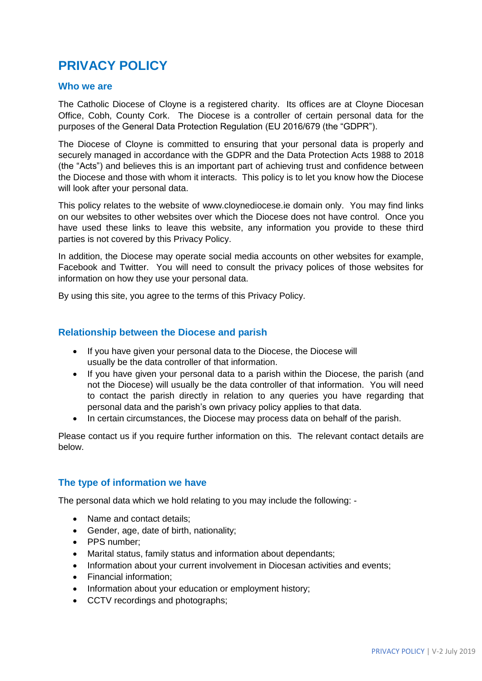# **PRIVACY POLICY**

#### **Who we are**

The Catholic Diocese of Cloyne is a registered charity. Its offices are at Cloyne Diocesan Office, Cobh, County Cork. The Diocese is a controller of certain personal data for the purposes of the General Data Protection Regulation (EU 2016/679 (the "GDPR").

The Diocese of Cloyne is committed to ensuring that your personal data is properly and securely managed in accordance with the GDPR and the Data Protection Acts 1988 to 2018 (the "Acts") and believes this is an important part of achieving trust and confidence between the Diocese and those with whom it interacts. This policy is to let you know how the Diocese will look after your personal data.

This policy relates to the website of www.cloynediocese.ie domain only. You may find links on our websites to other websites over which the Diocese does not have control. Once you have used these links to leave this website, any information you provide to these third parties is not covered by this Privacy Policy.

In addition, the Diocese may operate social media accounts on other websites for example, Facebook and Twitter. You will need to consult the privacy polices of those websites for information on how they use your personal data.

By using this site, you agree to the terms of this Privacy Policy.

#### **Relationship between the Diocese and parish**

- If you have given your personal data to the Diocese, the Diocese will usually be the data controller of that information.
- If you have given your personal data to a parish within the Diocese, the parish (and not the Diocese) will usually be the data controller of that information. You will need to contact the parish directly in relation to any queries you have regarding that personal data and the parish's own privacy policy applies to that data.
- In certain circumstances, the Diocese may process data on behalf of the parish.

Please contact us if you require further information on this. The relevant contact details are below.

#### **The type of information we have**

The personal data which we hold relating to you may include the following: -

- Name and contact details;
- Gender, age, date of birth, nationality;
- PPS number:
- Marital status, family status and information about dependants;
- Information about your current involvement in Diocesan activities and events;
- Financial information:
- Information about your education or employment history;
- CCTV recordings and photographs;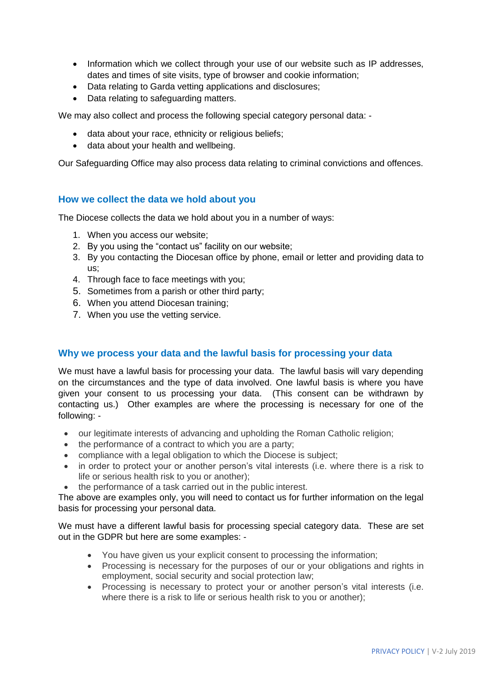- Information which we collect through your use of our website such as IP addresses, dates and times of site visits, type of browser and cookie information;
- Data relating to Garda vetting applications and disclosures;
- Data relating to safeguarding matters.

We may also collect and process the following special category personal data: -

- data about your race, ethnicity or religious beliefs;
- data about your health and wellbeing.

Our Safeguarding Office may also process data relating to criminal convictions and offences.

#### **How we collect the data we hold about you**

The Diocese collects the data we hold about you in a number of ways:

- 1. When you access our website;
- 2. By you using the "contact us" facility on our website;
- 3. By you contacting the Diocesan office by phone, email or letter and providing data to us;
- 4. Through face to face meetings with you;
- 5. Sometimes from a parish or other third party;
- 6. When you attend Diocesan training;
- 7. When you use the vetting service.

#### **Why we process your data and the lawful basis for processing your data**

We must have a lawful basis for processing your data. The lawful basis will vary depending on the circumstances and the type of data involved. One lawful basis is where you have given your consent to us processing your data. (This consent can be withdrawn by contacting us.) Other examples are where the processing is necessary for one of the following: -

- our legitimate interests of advancing and upholding the Roman Catholic religion;
- the performance of a contract to which you are a party;
- compliance with a legal obligation to which the Diocese is subject;
- in order to protect your or another person's vital interests (i.e. where there is a risk to life or serious health risk to you or another);
- the performance of a task carried out in the public interest.

The above are examples only, you will need to contact us for further information on the legal basis for processing your personal data.

We must have a different lawful basis for processing special category data. These are set out in the GDPR but here are some examples: -

- You have given us your explicit consent to processing the information;
- Processing is necessary for the purposes of our or your obligations and rights in employment, social security and social protection law;
- Processing is necessary to protect your or another person's vital interests (i.e. where there is a risk to life or serious health risk to you or another);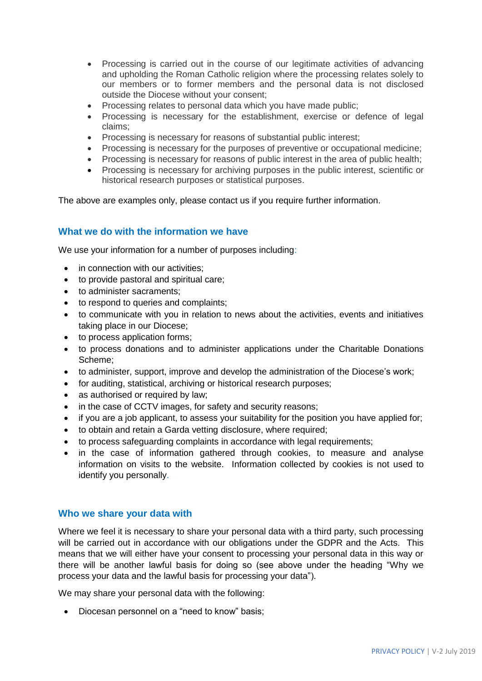- Processing is carried out in the course of our legitimate activities of advancing and upholding the Roman Catholic religion where the processing relates solely to our members or to former members and the personal data is not disclosed outside the Diocese without your consent;
- Processing relates to personal data which you have made public;
- Processing is necessary for the establishment, exercise or defence of legal claims;
- Processing is necessary for reasons of substantial public interest;
- Processing is necessary for the purposes of preventive or occupational medicine;
- Processing is necessary for reasons of public interest in the area of public health;
- Processing is necessary for archiving purposes in the public interest, scientific or historical research purposes or statistical purposes.

The above are examples only, please contact us if you require further information.

#### **What we do with the information we have**

We use your information for a number of purposes including:

- in connection with our activities;
- to provide pastoral and spiritual care:
- to administer sacraments;
- to respond to queries and complaints;
- to communicate with you in relation to news about the activities, events and initiatives taking place in our Diocese;
- to process application forms;
- to process donations and to administer applications under the Charitable Donations Scheme;
- to administer, support, improve and develop the administration of the Diocese's work;
- for auditing, statistical, archiving or historical research purposes;
- as authorised or required by law;
- in the case of CCTV images, for safety and security reasons;
- if you are a job applicant, to assess your suitability for the position you have applied for;
- to obtain and retain a Garda vetting disclosure, where required;
- to process safeguarding complaints in accordance with legal requirements;
- in the case of information gathered through cookies, to measure and analyse information on visits to the website. Information collected by cookies is not used to identify you personally.

#### **Who we share your data with**

Where we feel it is necessary to share your personal data with a third party, such processing will be carried out in accordance with our obligations under the GDPR and the Acts. This means that we will either have your consent to processing your personal data in this way or there will be another lawful basis for doing so (see above under the heading "Why we process your data and the lawful basis for processing your data").

We may share your personal data with the following:

• Diocesan personnel on a "need to know" basis: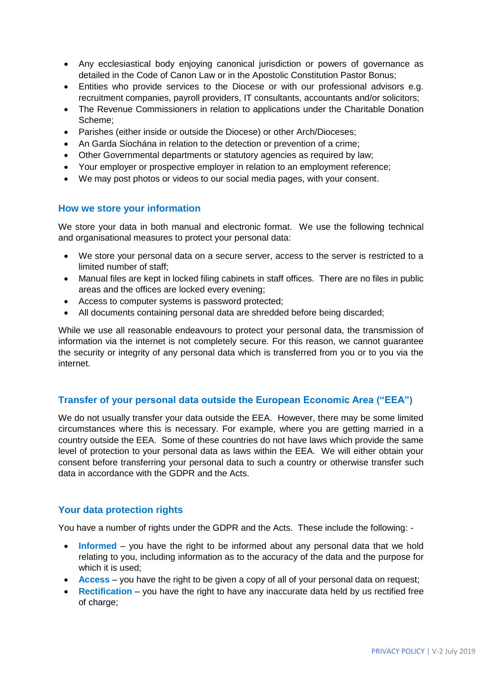- Any ecclesiastical body enjoying canonical jurisdiction or powers of governance as detailed in the Code of Canon Law or in the Apostolic Constitution Pastor Bonus;
- Entities who provide services to the Diocese or with our professional advisors e.g. recruitment companies, payroll providers, IT consultants, accountants and/or solicitors;
- The Revenue Commissioners in relation to applications under the Charitable Donation Scheme;
- Parishes (either inside or outside the Diocese) or other Arch/Dioceses;
- An Garda Síochána in relation to the detection or prevention of a crime;
- Other Governmental departments or statutory agencies as required by law;
- Your employer or prospective employer in relation to an employment reference;
- We may post photos or videos to our social media pages, with your consent.

### **How we store your information**

We store your data in both manual and electronic format. We use the following technical and organisational measures to protect your personal data:

- We store your personal data on a secure server, access to the server is restricted to a limited number of staff;
- Manual files are kept in locked filing cabinets in staff offices. There are no files in public areas and the offices are locked every evening;
- Access to computer systems is password protected;
- All documents containing personal data are shredded before being discarded;

While we use all reasonable endeavours to protect your personal data, the transmission of information via the internet is not completely secure. For this reason, we cannot guarantee the security or integrity of any personal data which is transferred from you or to you via the internet.

# **Transfer of your personal data outside the European Economic Area ("EEA")**

We do not usually transfer your data outside the EEA. However, there may be some limited circumstances where this is necessary. For example, where you are getting married in a country outside the EEA. Some of these countries do not have laws which provide the same level of protection to your personal data as laws within the EEA. We will either obtain your consent before transferring your personal data to such a country or otherwise transfer such data in accordance with the GDPR and the Acts.

# **Your data protection rights**

You have a number of rights under the GDPR and the Acts. These include the following: -

- **Informed** you have the right to be informed about any personal data that we hold relating to you, including information as to the accuracy of the data and the purpose for which it is used;
- **Access** you have the right to be given a copy of all of your personal data on request;
- **Rectification** you have the right to have any inaccurate data held by us rectified free of charge: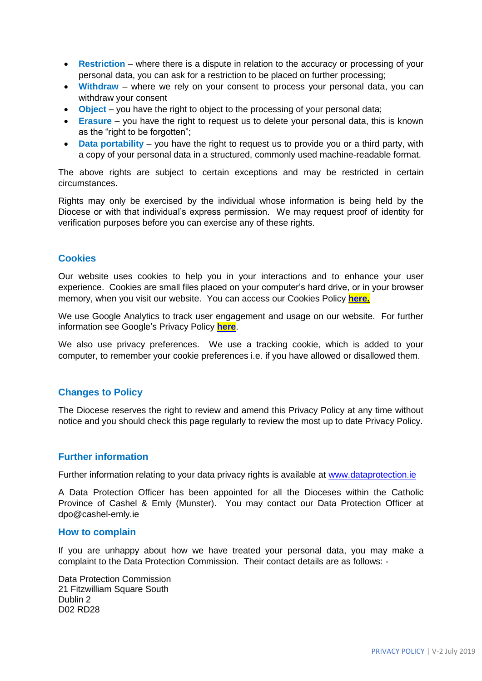- **Restriction** where there is a dispute in relation to the accuracy or processing of your personal data, you can ask for a restriction to be placed on further processing;
- **Withdraw** where we rely on your consent to process your personal data, you can withdraw your consent
- **Object** you have the right to object to the processing of your personal data;
- **Erasure** you have the right to request us to delete your personal data, this is known as the "right to be forgotten";
- **Data portability** you have the right to request us to provide you or a third party, with a copy of your personal data in a structured, commonly used machine-readable format.

The above rights are subject to certain exceptions and may be restricted in certain circumstances.

Rights may only be exercised by the individual whose information is being held by the Diocese or with that individual's express permission. We may request proof of identity for verification purposes before you can exercise any of these rights.

### **Cookies**

Our website uses cookies to help you in your interactions and to enhance your user experience. Cookies are small files placed on your computer's hard drive, or in your browser memory, when you visit our website. You can access our Cookies Policy **[here.](http://cloynediocese.ie/wp-content/uploads/2019/09/Cookies-Policy-May-2019-Cloyne-Diocese.pdf)**

We use Google Analytics to track user engagement and usage on our website. For further information see Google's Privacy Policy **[here](https://policies.google.com/privacy)**.

We also use privacy preferences. We use a tracking cookie, which is added to your computer, to remember your cookie preferences i.e. if you have allowed or disallowed them.

# **Changes to Policy**

The Diocese reserves the right to review and amend this Privacy Policy at any time without notice and you should check this page regularly to review the most up to date Privacy Policy.

#### **Further information**

Further information relating to your data privacy rights is available at [www.dataprotection.ie](http://www.dataprotection.ie/)

A Data Protection Officer has been appointed for all the Dioceses within the Catholic Province of Cashel & Emly (Munster). You may contact our Data Protection Officer at dpo@cashel-emly.ie

#### **How to complain**

If you are unhappy about how we have treated your personal data, you may make a complaint to the Data Protection Commission. Their contact details are as follows: -

Data Protection Commission 21 Fitzwilliam Square South Dublin 2 D02 RD28